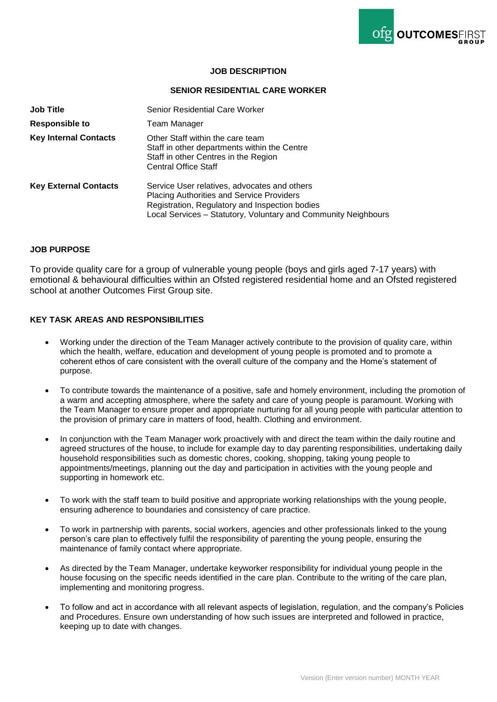

### **JOB DESCRIPTION**

### **SENIOR RESIDENTIAL CARE WORKER**

| <b>Job Title</b>             | Senior Residential Care Worker                                                                                                                                                                                       |
|------------------------------|----------------------------------------------------------------------------------------------------------------------------------------------------------------------------------------------------------------------|
| <b>Responsible to</b>        | <b>Team Manager</b>                                                                                                                                                                                                  |
| <b>Key Internal Contacts</b> | Other Staff within the care team<br>Staff in other departments within the Centre<br>Staff in other Centres in the Region<br><b>Central Office Staff</b>                                                              |
| <b>Key External Contacts</b> | Service User relatives, advocates and others<br><b>Placing Authorities and Service Providers</b><br>Registration, Regulatory and Inspection bodies<br>Local Services – Statutory, Voluntary and Community Neighbours |

### **JOB PURPOSE**

To provide quality care for a group of vulnerable young people (boys and girls aged 7-17 years) with emotional & behavioural difficulties within an Ofsted registered residential home and an Ofsted registered school at another Outcomes First Group site.

## **KEY TASK AREAS AND RESPONSIBILITIES**

- Working under the direction of the Team Manager actively contribute to the provision of quality care, within which the health, welfare, education and development of young people is promoted and to promote a coherent ethos of care consistent with the overall culture of the company and the Home's statement of purpose.
- To contribute towards the maintenance of a positive, safe and homely environment, including the promotion of a warm and accepting atmosphere, where the safety and care of young people is paramount. Working with the Team Manager to ensure proper and appropriate nurturing for all young people with particular attention to the provision of primary care in matters of food, health. Clothing and environment.
- In conjunction with the Team Manager work proactively with and direct the team within the daily routine and agreed structures of the house, to include for example day to day parenting responsibilities, undertaking daily household responsibilities such as domestic chores, cooking, shopping, taking young people to appointments/meetings, planning out the day and participation in activities with the young people and supporting in homework etc.
- To work with the staff team to build positive and appropriate working relationships with the young people, ensuring adherence to boundaries and consistency of care practice.
- To work in partnership with parents, social workers, agencies and other professionals linked to the young person's care plan to effectively fulfil the responsibility of parenting the young people, ensuring the maintenance of family contact where appropriate.
- As directed by the Team Manager, undertake keyworker responsibility for individual young people in the house focusing on the specific needs identified in the care plan. Contribute to the writing of the care plan, implementing and monitoring progress.
- To follow and act in accordance with all relevant aspects of legislation, regulation, and the company's Policies and Procedures. Ensure own understanding of how such issues are interpreted and followed in practice, keeping up to date with changes.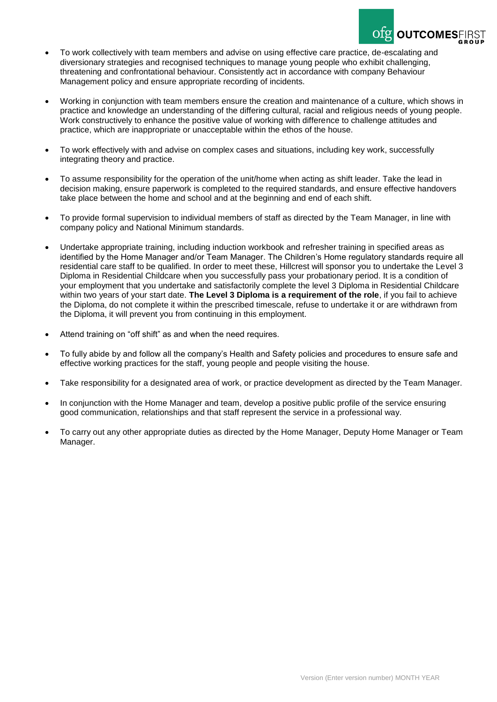

- To work collectively with team members and advise on using effective care practice, de-escalating and diversionary strategies and recognised techniques to manage young people who exhibit challenging, threatening and confrontational behaviour. Consistently act in accordance with company Behaviour Management policy and ensure appropriate recording of incidents.
- Working in conjunction with team members ensure the creation and maintenance of a culture, which shows in practice and knowledge an understanding of the differing cultural, racial and religious needs of young people. Work constructively to enhance the positive value of working with difference to challenge attitudes and practice, which are inappropriate or unacceptable within the ethos of the house.
- To work effectively with and advise on complex cases and situations, including key work, successfully integrating theory and practice.
- To assume responsibility for the operation of the unit/home when acting as shift leader. Take the lead in decision making, ensure paperwork is completed to the required standards, and ensure effective handovers take place between the home and school and at the beginning and end of each shift.
- To provide formal supervision to individual members of staff as directed by the Team Manager, in line with company policy and National Minimum standards.
- Undertake appropriate training, including induction workbook and refresher training in specified areas as identified by the Home Manager and/or Team Manager. The Children's Home regulatory standards require all residential care staff to be qualified. In order to meet these, Hillcrest will sponsor you to undertake the Level 3 Diploma in Residential Childcare when you successfully pass your probationary period. It is a condition of your employment that you undertake and satisfactorily complete the level 3 Diploma in Residential Childcare within two years of your start date. **The Level 3 Diploma is a requirement of the role**, if you fail to achieve the Diploma, do not complete it within the prescribed timescale, refuse to undertake it or are withdrawn from the Diploma, it will prevent you from continuing in this employment.
- Attend training on "off shift" as and when the need requires.
- To fully abide by and follow all the company's Health and Safety policies and procedures to ensure safe and effective working practices for the staff, young people and people visiting the house.
- Take responsibility for a designated area of work, or practice development as directed by the Team Manager.
- In conjunction with the Home Manager and team, develop a positive public profile of the service ensuring good communication, relationships and that staff represent the service in a professional way.
- To carry out any other appropriate duties as directed by the Home Manager, Deputy Home Manager or Team Manager.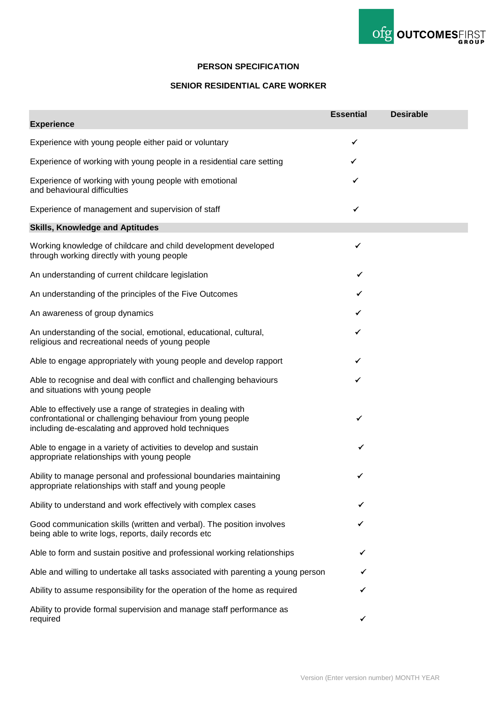

## **PERSON SPECIFICATION**

# **SENIOR RESIDENTIAL CARE WORKER**

| <b>Experience</b>                                                                                                                                                                   | <b>Essential</b> | <b>Desirable</b> |
|-------------------------------------------------------------------------------------------------------------------------------------------------------------------------------------|------------------|------------------|
|                                                                                                                                                                                     | ✔                |                  |
| Experience with young people either paid or voluntary                                                                                                                               |                  |                  |
| Experience of working with young people in a residential care setting                                                                                                               | ✓                |                  |
| Experience of working with young people with emotional<br>and behavioural difficulties                                                                                              | ✓                |                  |
| Experience of management and supervision of staff                                                                                                                                   |                  |                  |
| <b>Skills, Knowledge and Aptitudes</b>                                                                                                                                              |                  |                  |
| Working knowledge of childcare and child development developed<br>through working directly with young people                                                                        | ✔                |                  |
| An understanding of current childcare legislation                                                                                                                                   | ✓                |                  |
| An understanding of the principles of the Five Outcomes                                                                                                                             |                  |                  |
| An awareness of group dynamics                                                                                                                                                      | ✓                |                  |
| An understanding of the social, emotional, educational, cultural,<br>religious and recreational needs of young people                                                               | ✓                |                  |
| Able to engage appropriately with young people and develop rapport                                                                                                                  | ✓                |                  |
| Able to recognise and deal with conflict and challenging behaviours<br>and situations with young people                                                                             | ✓                |                  |
| Able to effectively use a range of strategies in dealing with<br>confrontational or challenging behaviour from young people<br>including de-escalating and approved hold techniques | ✓                |                  |
| Able to engage in a variety of activities to develop and sustain<br>appropriate relationships with young people                                                                     |                  |                  |
| Ability to manage personal and professional boundaries maintaining<br>appropriate relationships with staff and young people                                                         | ✔                |                  |
| Ability to understand and work effectively with complex cases                                                                                                                       | ✔                |                  |
| Good communication skills (written and verbal). The position involves<br>being able to write logs, reports, daily records etc                                                       |                  |                  |
| Able to form and sustain positive and professional working relationships                                                                                                            |                  |                  |
| Able and willing to undertake all tasks associated with parenting a young person                                                                                                    |                  |                  |
| Ability to assume responsibility for the operation of the home as required                                                                                                          |                  |                  |
| Ability to provide formal supervision and manage staff performance as<br>required                                                                                                   | ✓                |                  |